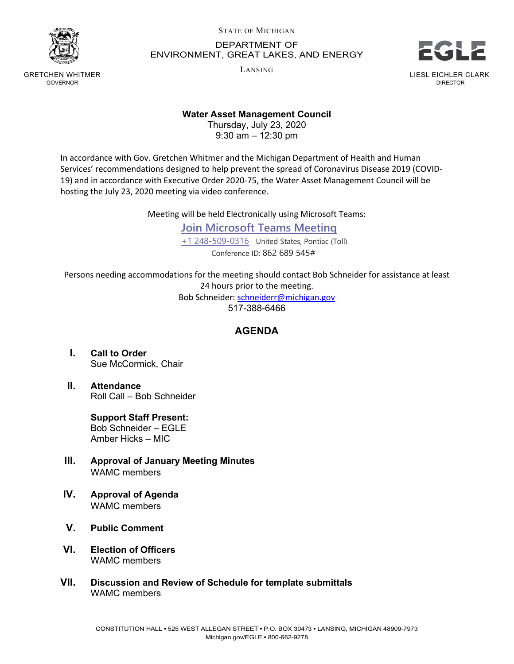

GRETCHEN WHITMER GOVERNOR

STATE OF MICHIGAN

## DEPARTMENT OF ENVIRONMENT, GREAT LAKES, AND ENERGY

LANSING



LIESL EICHLER CLARK DIRECTOR

## **Water Asset Management Council**

Thursday, July 23, 2020 9:30 am – 12:30 pm

In accordance with Gov. Gretchen Whitmer and the Michigan Department of Health and Human Services' recommendations designed to help prevent the spread of Coronavirus Disease 2019 (COVID-19) and in accordance with Executive Order 2020-75, the Water Asset Management Council will be hosting the July 23, 2020 meeting via video conference.

Meeting will be held Electronically using Microsoft Teams:

**[Join Microsoft Teams Meeting](https://teams.microsoft.com/l/meetup-join/19%3ameeting_YjJhN2VmNjYtMTI3Yy00NDM0LWFjMzAtNzcxNTgyZGI2ZmEz%40thread.v2/0?context=%7b%22Tid%22%3a%22d5fb7087-3777-42ad-966a-892ef47225d1%22%2c%22Oid%22%3a%222195fcb8-a2f4-4847-bfe3-8aaf0a1ee2f2%22%7d)** [+1 248-509-0316](tel:+1%20248-509-0316,,862689545#%20) United States, Pontiac (Toll) Conference ID: 862 689 545#

Persons needing accommodations for the meeting should contact Bob Schneider for assistance at least 24 hours prior to the meeting. Bob Schneider[: schneiderr@michigan.gov](mailto:schneiderr@michigan.gov)

517-388-6466

## **AGENDA**

- **I. Call to Order** Sue McCormick, Chair
- **II. Attendance** Roll Call – Bob Schneider

**Support Staff Present:** Bob Schneider – EGLE Amber Hicks – MIC

- **III. Approval of January Meeting Minutes** WAMC members
- **IV. Approval of Agenda** WAMC members
- **V. Public Comment**
- **VI. Election of Officers** WAMC members
- **VII. Discussion and Review of Schedule for template submittals** WAMC members